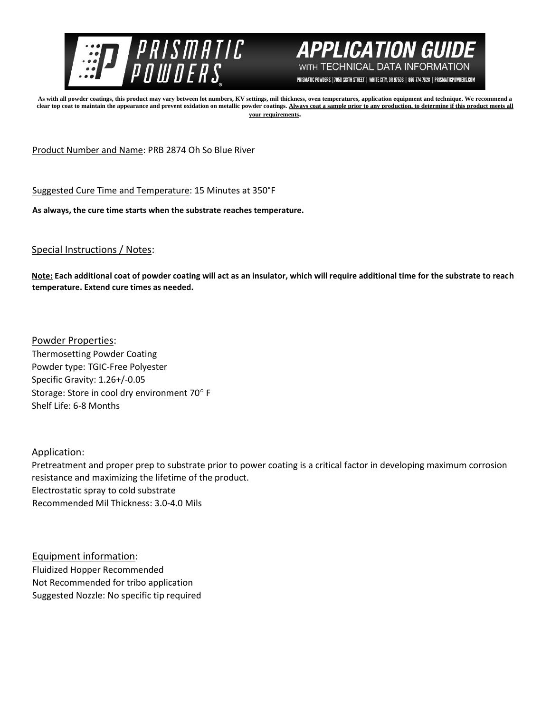



PRISMATIC POWDERS. | 7050 SIXTH STREET | WHITE CITY, OR 97503 | 866-774-7628 | PRISMATICPOWDERS.COM

**As with all powder coatings, this product may vary between lot numbers, KV settings, mil thickness, oven temperatures, application equipment and technique. We recommend a**  clear top coat to maintain the appearance and prevent oxidation on metallic powder coatings. Always coat a sample prior to any production, to determine if this product meets all **your requirements.** 

Product Number and Name: PRB 2874 Oh So Blue River

Suggested Cure Time and Temperature: 15 Minutes at 350°F

**As always, the cure time starts when the substrate reaches temperature.**

## Special Instructions / Notes:

**Note: Each additional coat of powder coating will act as an insulator, which will require additional time for the substrate to reach temperature. Extend cure times as needed.** 

Powder Properties: Thermosetting Powder Coating Powder type: TGIC-Free Polyester Specific Gravity: 1.26+/-0.05 Storage: Store in cool dry environment 70° F Shelf Life: 6-8 Months

## Application:

Pretreatment and proper prep to substrate prior to power coating is a critical factor in developing maximum corrosion resistance and maximizing the lifetime of the product. Electrostatic spray to cold substrate Recommended Mil Thickness: 3.0-4.0 Mils

Equipment information: Fluidized Hopper Recommended Not Recommended for tribo application Suggested Nozzle: No specific tip required